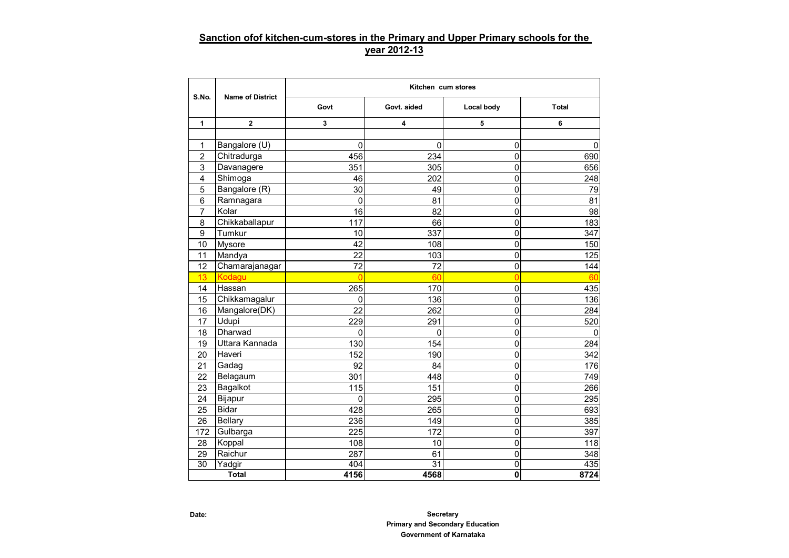## **Sanction ofof kitchen-cum-stores in the Primary and Upper Primary schools for the year 2012-13**

|                |                         | Kitchen cum stores |                 |                |          |  |  |  |  |  |  |  |  |
|----------------|-------------------------|--------------------|-----------------|----------------|----------|--|--|--|--|--|--|--|--|
| S.No.          | <b>Name of District</b> | Govt               | Govt. aided     | Local body     | Total    |  |  |  |  |  |  |  |  |
| 1              | $\overline{2}$          | 3                  | 4               | 5              | 6        |  |  |  |  |  |  |  |  |
|                |                         |                    |                 |                |          |  |  |  |  |  |  |  |  |
| 1              | Bangalore (U)           | 0                  | $\mathbf 0$     | 0              | 0        |  |  |  |  |  |  |  |  |
| $\overline{2}$ | Chitradurga             | 456                | 234             | 0              | 690      |  |  |  |  |  |  |  |  |
| 3              | Davanagere              | 351                | 305             | 0              | 656      |  |  |  |  |  |  |  |  |
| 4              | Shimoga                 | 46                 | 202             | 0              | 248      |  |  |  |  |  |  |  |  |
| 5              | Bangalore (R)           | 30                 | 49              | $\mathbf 0$    | 79       |  |  |  |  |  |  |  |  |
| 6              | Ramnagara               | 0                  | 81              | 0              | 81       |  |  |  |  |  |  |  |  |
| $\overline{7}$ | Kolar                   | 16                 | 82              | $\mathbf 0$    | 98       |  |  |  |  |  |  |  |  |
| 8              | Chikkaballapur          | 117                | 66              | $\mathbf 0$    | 183      |  |  |  |  |  |  |  |  |
| 9              | Tumkur                  | 10                 | 337             | $\mathbf 0$    | 347      |  |  |  |  |  |  |  |  |
| 10             | <b>Mysore</b>           | 42                 | 108             | $\mathbf 0$    | 150      |  |  |  |  |  |  |  |  |
| 11             | Mandya                  | 22                 | 103             | $\mathbf 0$    | 125      |  |  |  |  |  |  |  |  |
| 12             | Chamarajanagar          | 72                 | 72              | 0              | 144      |  |  |  |  |  |  |  |  |
| 13             | Kodagu                  | 0                  | 60              | 0              | 60       |  |  |  |  |  |  |  |  |
| 14             | Hassan                  | 265                | 170             | $\mathsf 0$    | 435      |  |  |  |  |  |  |  |  |
| 15             | Chikkamagalur           | 0                  | 136             | $\overline{0}$ | 136      |  |  |  |  |  |  |  |  |
| 16             | Mangalore(DK)           | 22                 | 262             | $\mathbf 0$    | 284      |  |  |  |  |  |  |  |  |
| 17             | Udupi                   | 229                | 291             | 0              | 520      |  |  |  |  |  |  |  |  |
| 18             | Dharwad                 | 0                  | $\mathbf 0$     | $\mathbf 0$    | $\Omega$ |  |  |  |  |  |  |  |  |
| 19             | Uttara Kannada          | 130                | 154             | $\mathbf 0$    | 284      |  |  |  |  |  |  |  |  |
| 20             | Haveri                  | 152                | 190             | 0              | 342      |  |  |  |  |  |  |  |  |
| 21             | Gadag                   | 92                 | 84              | $\mathbf 0$    | 176      |  |  |  |  |  |  |  |  |
| 22             | Belagaum                | 301                | 448             | 0              | 749      |  |  |  |  |  |  |  |  |
| 23             | Bagalkot                | 115                | 151             | 0              | 266      |  |  |  |  |  |  |  |  |
| 24             | Bijapur                 | 0                  | 295             | 0              | 295      |  |  |  |  |  |  |  |  |
| 25             | <b>Bidar</b>            | 428                | 265             | 0              | 693      |  |  |  |  |  |  |  |  |
| 26             | <b>Bellary</b>          | 236                | 149             | $\overline{0}$ | 385      |  |  |  |  |  |  |  |  |
| 172            | Gulbarga                | 225                | 172             | $\overline{0}$ | 397      |  |  |  |  |  |  |  |  |
| 28             | Koppal                  | 108                | 10              | 0              | 118      |  |  |  |  |  |  |  |  |
| 29             | Raichur                 | 287                | 61              | $\mathbf 0$    | 348      |  |  |  |  |  |  |  |  |
| 30             | Yadgir                  | 404                | $\overline{31}$ | $\mathbf 0$    | 435      |  |  |  |  |  |  |  |  |
|                | <b>Total</b>            | 4156               | 4568            | 0              | 8724     |  |  |  |  |  |  |  |  |

**Secretary Primary and Secondary Education Government of Karnataka**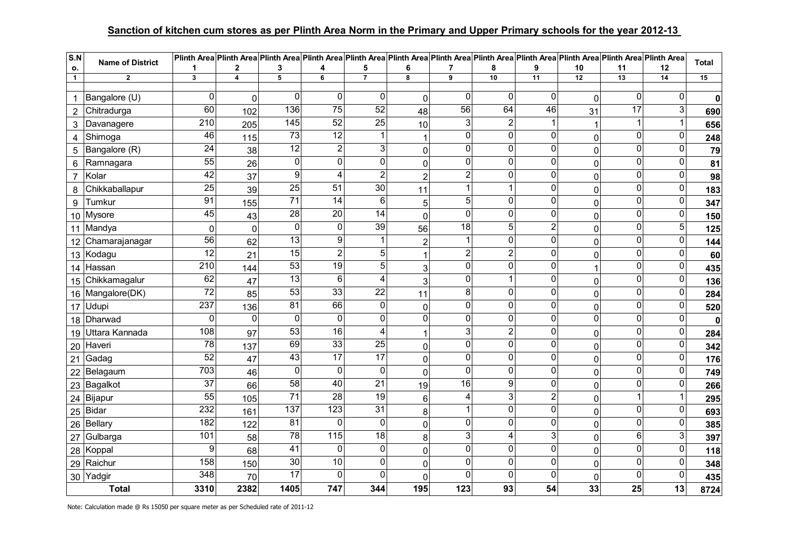## **Sanction of kitchen cum stores as per Plinth Area Norm in the Primary and Upper Primary schools for the year 2012-13**

| S.N             | <b>Name of District</b> |                         |                |                         |                         |                 |                |                         |                         |                |                         | Plinth Area Plinth Area Plinth Area Plinth Area Plinth Area Plinth Area Plinth Area Plinth Area Plinth Area Plinth Area Plinth Area Plinth Area Plinth Area |                           | Total       |
|-----------------|-------------------------|-------------------------|----------------|-------------------------|-------------------------|-----------------|----------------|-------------------------|-------------------------|----------------|-------------------------|-------------------------------------------------------------------------------------------------------------------------------------------------------------|---------------------------|-------------|
| ο.              |                         |                         | 2              | 3                       | 4                       | 5               | 6              | 7                       | 8                       | 9              | 10                      | 11                                                                                                                                                          | 12                        |             |
| $\mathbf{1}$    | $\mathbf{2}$            | $\overline{\mathbf{3}}$ | $\overline{4}$ | $\overline{5}$          | 6                       | $\overline{7}$  | 8              | 9                       | 10                      | 11             | 12                      | 13                                                                                                                                                          | 14                        | 15          |
| 1               | Bangalore (U)           | 0                       | $\mathbf 0$    | 0                       | 0                       | 0               | $\Omega$       | $\Omega$                | $\mathbf{0}$            | $\Omega$       | $\mathbf 0$             | 0                                                                                                                                                           | 0                         | $\mathbf 0$ |
| $\overline{2}$  | Chitradurga             | 60                      | 102            | 136                     | $\overline{75}$         | 52              | 48             | $\overline{56}$         | 64                      | 46             | 31                      | $\overline{17}$                                                                                                                                             | $\ensuremath{\mathsf{3}}$ | 690         |
| 3               | Davanagere              | 210                     | 205            | 145                     | 52                      | $\overline{25}$ | 10             | 3                       | $\overline{2}$          | $\mathbf{1}$   | 1                       |                                                                                                                                                             |                           | 656         |
| 4               | Shimoga                 | 46                      | 115            | 73                      | $\overline{12}$         | 1               | 1              | $\overline{0}$          | $\mathbf 0$             | $\mathbf 0$    | $\mathbf 0$             | $\mathbf 0$                                                                                                                                                 | 0                         | 248         |
| 5               | Bangalore (R)           | $\overline{24}$         | 38             | 12                      | $\overline{2}$          | $\overline{3}$  | 0              | ΩI                      | $\mathbf{0}$            | $\overline{0}$ | $\pmb{0}$               | $\overline{0}$                                                                                                                                              | $\overline{0}$            | 79          |
| 6               | Ramnagara               | 55                      | 26             | $\overline{\mathsf{o}}$ | $\overline{0}$          | $\overline{0}$  | 0              | $\overline{0}$          | $\mathbf 0$             | $\mathbf 0$    | $\mathbf 0$             | 0                                                                                                                                                           | $\overline{0}$            | 81          |
| $\overline{7}$  | Kolar                   | 42                      | 37             | 9                       | $\overline{\mathbf{4}}$ | $\overline{2}$  | $\overline{2}$ | $\overline{2}$          | $\mathbf 0$             | O              | $\pmb{0}$               | $\overline{0}$                                                                                                                                              | $\overline{0}$            | 98          |
| 8               | Chikkaballapur          | $\overline{25}$         | 39             | $\overline{25}$         | $\overline{51}$         | 30              | 11             |                         | $\overline{\mathbf{1}}$ | $\pmb{0}$      | $\pmb{0}$               | 0                                                                                                                                                           | $\mathsf 0$               | 183         |
| 9               | Tumkur                  | 91                      | 155            | $\overline{71}$         | $\overline{14}$         | 6               | 5              | 5 <sup>1</sup>          | $\mathbf 0$             | $\mathbf 0$    | $\pmb{0}$               | 0                                                                                                                                                           | $\pmb{0}$                 | 347         |
| 10 <sup>1</sup> | Mysore                  | 45                      | 43             | 28                      | 20                      | 14              | 0              | $\Omega$                | $\overline{0}$          | O              | $\mathbf 0$             | $\overline{0}$                                                                                                                                              | $\overline{0}$            | 150         |
|                 | 11 Mandya               | $\mathbf 0$             | $\mathbf 0$    | $\mathbf 0$             | 0                       | 39              | 56             | 18                      | 5                       | 2              | $\mathbf 0$             | 0                                                                                                                                                           | $\overline{5}$            | 125         |
| 12              | Chamarajanagar          | 56                      | 62             | 13                      | 9                       | 1               | $\overline{2}$ |                         | $\mathbf{0}$            | $\mathbf 0$    | $\pmb{0}$               | 0                                                                                                                                                           | 0                         | 144         |
|                 | 13 Kodagu               | $\overline{12}$         | 21             | $\overline{15}$         | 2                       | 5 <sup>1</sup>  |                | $\overline{\mathbf{c}}$ | $\overline{c}$          | $\pmb{0}$      | $\pmb{0}$               | 0                                                                                                                                                           | 0                         | 60          |
| 14              | Hassan                  | $\overline{210}$        | 144            | 53                      | 19                      | 5               | 3              | $\overline{0}$          | $\mathbf 0$             | $\mathbf 0$    | $\mathbf{1}$            | 0                                                                                                                                                           | $\pmb{0}$                 | 435         |
|                 | 15 Chikkamagalur        | 62                      | 47             | 13                      | 6                       | 4               | 3              | 0                       | -1                      | 0              | $\pmb{0}$               | 0                                                                                                                                                           | 0                         | 136         |
|                 | 16 Mangalore(DK)        | $\overline{72}$         | 85             | 53                      | 33                      | $\overline{22}$ | 11             | $\bf{8}$                | $\overline{0}$          | $\mathbf 0$    | $\mathbf 0$             | 0                                                                                                                                                           | $\pmb{0}$                 | 284         |
|                 | 17 Udupi                | 237                     | 136            | 81                      | 66                      | $\overline{0}$  | 0              | Οl                      | $\overline{0}$          | 0              | $\mathsf{O}\xspace$     | 0                                                                                                                                                           | $\overline{0}$            | 520         |
| 18              | Dharwad                 | 0                       | 0              | $\pmb{0}$               | 0                       | $\overline{0}$  | $\overline{0}$ | 0                       | $\mathbf 0$             | $\mathbf 0$    | $\overline{\mathsf{o}}$ | 0                                                                                                                                                           | 0                         | $\mathbf 0$ |
| 19              | Uttara Kannada          | 108                     | 97             | 53                      | $\overline{16}$         | 4               |                | 3                       | $\mathbf 2$             | $\mathbf 0$    | $\mathbf 0$             | 0                                                                                                                                                           | $\pmb{0}$                 | 284         |
| 20              | Haveri                  | 78                      | 137            | 69                      | 33                      | $\overline{25}$ | 0              | Οl                      | $\mathbf 0$             | $\overline{0}$ | $\pmb{0}$               | 0                                                                                                                                                           | $\overline{0}$            | 342         |
| 21              | Gadag                   | 52                      | 47             | 43                      | 17                      | 17              | 0              | Οl                      | $\mathbf 0$             | 0              | $\pmb{0}$               | 0                                                                                                                                                           | 0                         | 176         |
|                 | 22 Belagaum             | 703                     | 46             | $\mathbf 0$             | 0                       | 0               | 0              | $\Omega$                | $\mathbf 0$             | 0              | $\pmb{0}$               | $\Omega$                                                                                                                                                    | $\mathbf 0$               | 749         |
| 23              | Bagalkot                | 37                      | 66             | 58                      | 40                      | $\overline{21}$ | 19             | 16                      | 9                       | $\mathbf 0$    | $\pmb{0}$               | 0                                                                                                                                                           | $\pmb{0}$                 | 266         |
| 24              | Bijapur                 | 55                      | 105            | $\overline{71}$         | 28                      | 19              | 6              | 4                       | 3                       | $\overline{2}$ | $\pmb{0}$               |                                                                                                                                                             | 1                         | 295         |
| 25              | Bidar                   | 232                     | 161            | 137                     | 123                     | $\overline{31}$ | 8              |                         | $\mathbf 0$             | O              | $\mathbf 0$             | 0                                                                                                                                                           | 0                         | 693         |
| 26              | Bellary                 | 182                     | 122            | $\overline{81}$         | $\mathbf{0}$            | $\overline{0}$  | 0              | $\mathbf 0$             | $\mathbf 0$             | 0              | $\pmb{0}$               | $\overline{0}$                                                                                                                                              | $\overline{0}$            | 385         |
| 27              | Gulbarga                | 101                     | 58             | 78                      | 115                     | 18              | 8              | 3                       | $\overline{4}$          | 3              | $\pmb{0}$               | $\overline{6}$                                                                                                                                              | $\overline{3}$            | 397         |
|                 | 28 Koppal               | 9                       | 68             | $\overline{41}$         | 0                       | $\overline{0}$  | 0              | 0l                      | $\mathbf{0}$            | $\pmb{0}$      | $\pmb{0}$               | 0                                                                                                                                                           | $\overline{0}$            | 118         |
| 29              | Raichur                 | 158                     | 150            | $\overline{30}$         | $\overline{10}$         | $\overline{0}$  | 0              | $\overline{0}$          | $\pmb{0}$               | $\pmb{0}$      | $\pmb{0}$               | 0                                                                                                                                                           | $\pmb{0}$                 | 348         |
| 30              | Yadgir                  | 348                     | 70             | 17                      | $\Omega$                | 0               | 0              | $\mathbf 0$             | $\mathbf 0$             | $\mathbf 0$    | $\pmb{0}$               | $\mathbf 0$                                                                                                                                                 | $\mathbf 0$               | 435         |
|                 | <b>Total</b>            | 3310                    | 2382           | 1405                    | 747                     | 344             | 195            | 123                     | 93                      | 54             | 33                      | 25                                                                                                                                                          | 13                        | 8724        |

Note: Calculation made @ Rs 15050 per square meter as per Scheduled rate of 2011-12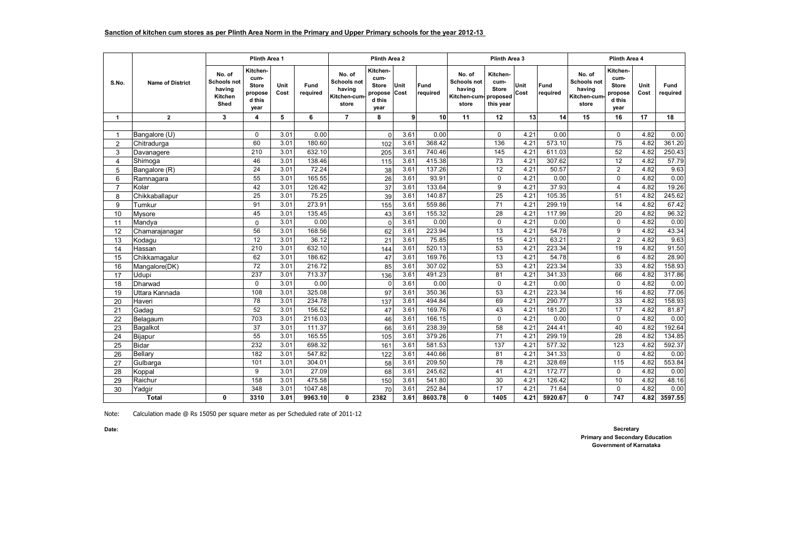|                |                          |                                                           |                                                               | Plinth Area 2 |                    |                                                                |                                                               |              | Plinth Area 3     |                                                          |                                                           | <b>Plinth Area 4</b> |                  |                                                                |                                                               |              |                  |
|----------------|--------------------------|-----------------------------------------------------------|---------------------------------------------------------------|---------------|--------------------|----------------------------------------------------------------|---------------------------------------------------------------|--------------|-------------------|----------------------------------------------------------|-----------------------------------------------------------|----------------------|------------------|----------------------------------------------------------------|---------------------------------------------------------------|--------------|------------------|
| S.No.          | <b>Name of District</b>  | No. of<br><b>Schools not</b><br>having<br>Kitchen<br>Shed | Kitchen-<br>cum-<br><b>Store</b><br>propose<br>d this<br>year | Unit<br>Cost  | Fund<br>required   | No. of<br><b>Schools not</b><br>having<br>Kitchen-cum<br>store | Kitchen-<br>cum-<br><b>Store</b><br>propose<br>d this<br>year | Unit<br>Cost | Fund<br>required  | No. of<br>Schools not<br>having<br>Kitchen-cum-<br>store | Kitchen-<br>cum-<br><b>Store</b><br>proposed<br>this year | Unit<br>Cost         | Fund<br>required | No. of<br><b>Schools not</b><br>having<br>Kitchen-cum<br>store | Kitchen-<br>cum-<br><b>Store</b><br>propose<br>d this<br>year | Unit<br>Cost | Fund<br>required |
| $\mathbf{1}$   | $\overline{2}$           | 3                                                         | 4                                                             | 5             | 6                  | $\overline{7}$                                                 | 8                                                             | 9            | 10                | 11                                                       | 12                                                        | 13                   | 14               | 15                                                             | 16                                                            | 17           | 18               |
|                |                          |                                                           | $\Omega$                                                      |               | 0.00               |                                                                |                                                               |              | 0.00              |                                                          |                                                           | 4.21                 | 0.00             |                                                                |                                                               | 4.82         | 0.00             |
| 1              | Bangalore (U)            |                                                           | 60                                                            | 3.01<br>3.01  | 180.60             |                                                                | $\Omega$                                                      | 3.61<br>3.61 | 368.42            |                                                          | $\mathbf 0$<br>136                                        | 4.21                 | 573.10           |                                                                | $\mathbf 0$<br>$\overline{75}$                                | 4.82         | 361.20           |
| $\overline{2}$ | Chitradurga              |                                                           | 210                                                           | 3.01          | 632.10             |                                                                | 102                                                           | 3.61         | 740.46            |                                                          | 145                                                       | 4.21                 | 611.03           |                                                                | 52                                                            | 4.82         | 250.43           |
| 3              | Davanagere               |                                                           | 46                                                            | 3.01          | 138.46             |                                                                | 205                                                           | 3.61         | 415.38            |                                                          | 73                                                        | 4.21                 | 307.62           |                                                                | 12                                                            | 4.82         | 57.79            |
| 4<br>5         | Shimoga<br>Bangalore (R) |                                                           | $\overline{24}$                                               | 3.01          | 72.24              |                                                                | 115<br>38                                                     | 3.61         | 137.26            |                                                          | $\overline{12}$                                           | 4.21                 | 50.57            |                                                                | $\overline{2}$                                                | 4.82         | 9.63             |
| 6              | Ramnagara                |                                                           | 55                                                            | 3.01          | 165.55             |                                                                | 26                                                            | 3.61         | 93.91             |                                                          | $\Omega$                                                  | 4.21                 | 0.00             |                                                                | $\Omega$                                                      | 4.82         | 0.00             |
| $\overline{7}$ | Kolar                    |                                                           | 42                                                            | 3.01          | 126.42             |                                                                | 37                                                            | 3.61         | 133.64            |                                                          | 9                                                         | 4.21                 | 37.93            |                                                                | $\overline{4}$                                                | 4.82         | 19.26            |
| 8              | Chikkaballapur           |                                                           | $\overline{25}$                                               | 3.01          | 75.25              |                                                                | 39                                                            | 3.61         | 140.87            |                                                          | 25                                                        | 4.21                 | 105.35           |                                                                | 51                                                            | 4.82         | 245.62           |
| 9              | Tumkur                   |                                                           | 91                                                            | 3.01          | 273.91             |                                                                | 155                                                           | 3.61         | 559.86            |                                                          | $\overline{71}$                                           | 4.21                 | 299.19           |                                                                | $\overline{14}$                                               | 4.82         | 67.42            |
| 10             | Mysore                   |                                                           | 45                                                            | 3.01          | 135.45             |                                                                | 43                                                            | 3.61         | 155.32            |                                                          | 28                                                        | 4.21                 | 117.99           |                                                                | 20                                                            | 4.82         | 96.32            |
| 11             | Mandya                   |                                                           | $\Omega$                                                      | 3.01          | 0.00               |                                                                | $\sqrt{ }$                                                    | 3.61         | 0.00              |                                                          | $\Omega$                                                  | 4.21                 | 0.00             |                                                                | $\Omega$                                                      | 4.82         | 0.00             |
| 12             | Chamarajanagar           |                                                           | 56                                                            | 3.01          | 168.56             |                                                                | 62                                                            | 3.61         | 223.94            |                                                          | 13                                                        | 4.21                 | 54.78            |                                                                | 9                                                             | 4.82         | 43.34            |
| 13             | Kodagu                   |                                                           | $\overline{12}$                                               | 3.01          | 36.12              |                                                                | 21                                                            | 3.61         | 75.85             |                                                          | 15                                                        | 4.21                 | 63.21            |                                                                | $\overline{2}$                                                | 4.82         | 9.63             |
| 14             | Hassan                   |                                                           | 210                                                           | 3.01          | 632.10             |                                                                | 144                                                           | 3.61         | 520.13            |                                                          | 53                                                        | 4.21                 | 223.34           |                                                                | 19                                                            | 4.82         | 91.50            |
| 15             | Chikkamaqalur            |                                                           | 62                                                            | 3.01          | 186.62             |                                                                | 47                                                            | 3.61         | 169.76            |                                                          | 13                                                        | 4.21                 | 54.78            |                                                                | 6                                                             | 4.82         | 28.90            |
| 16             | Mangalore(DK)            |                                                           | $\overline{72}$                                               | 3.01          | 216.72             |                                                                | 85                                                            | 3.61         | 307.02            |                                                          | 53                                                        | 4.21                 | 223.34           |                                                                | 33                                                            | 4.82         | 158.93           |
| 17             | Udupi                    |                                                           | 237                                                           | 3.01          | 713.37             |                                                                | 136                                                           | 3.61         | 491.23            |                                                          | 81                                                        | 4.21                 | 341.33           |                                                                | 66                                                            | 4.82         | 317.86           |
| 18             | Dharwad                  |                                                           | $\Omega$                                                      | 3.01          | 0.00               |                                                                | $\Omega$                                                      | 3.61         | 0.00              |                                                          | $\Omega$                                                  | 4.21                 | 0.00             |                                                                | $\Omega$                                                      | 4.82         | 0.00             |
| 19             | Uttara Kannada           |                                                           | 108                                                           | 3.01          | 325.08             |                                                                | 97                                                            | 3.61         | 350.36            |                                                          | 53                                                        | 4.21                 | 223.34           |                                                                | 16                                                            | 4.82         | 77.06            |
| 20             | Haveri                   |                                                           | $\overline{78}$                                               | 3.01          | 234.78             |                                                                | 137                                                           | 3.61         | 494.84            |                                                          | 69                                                        | 4.21                 | 290.77           |                                                                | 33                                                            | 4.82         | 158.93           |
| 21             | Gadag                    |                                                           | 52                                                            | 3.01          | 156.52             |                                                                | 47                                                            | 3.61         | 169.76            |                                                          | 43                                                        | 4.21                 | 181.20           |                                                                | 17                                                            | 4.82         | 81.87            |
| 22             | Belagaum                 |                                                           | 703                                                           | 3.01          | 2116.03            |                                                                | 46                                                            | 3.61         | 166.15            |                                                          | $\Omega$                                                  | 4.21                 | 0.00             |                                                                | $\Omega$                                                      | 4.82         | 0.00             |
| 23             | Bagalkot                 |                                                           | 37                                                            | 3.01          | 111.37             |                                                                | 66                                                            | 3.61         | 238.39            |                                                          | 58                                                        | 4.21                 | 244.41           |                                                                | 40                                                            | 4.82         | 192.64           |
| 24             | Bijapur                  |                                                           | 55                                                            | 3.01          | 165.55             |                                                                | 105                                                           | 3.61         | 379.26            |                                                          | $\overline{71}$                                           | 4.21                 | 299.19           |                                                                | 28                                                            | 4.82         | 134.85           |
| 25             | <b>Bidar</b>             |                                                           | 232                                                           | 3.01          | 698.32             |                                                                | 161                                                           | 3.61         | 581.53            |                                                          | 137                                                       | 4.21                 | 577.32           |                                                                | 123                                                           | 4.82         | 592.37           |
| 26             | Bellarv                  |                                                           | 182                                                           | 3.01          | 547.82             |                                                                | 122                                                           | 3.61         | 440.66            |                                                          | 81                                                        | 4.21                 | 341.33           |                                                                | $\mathbf 0$                                                   | 4.82         | 0.00             |
| 27             | Gulbarga                 |                                                           | 101                                                           | 3.01          | 304.01             |                                                                | 58                                                            | 3.61         | 209.50            |                                                          | $\overline{78}$                                           | 4.21                 | 328.69           |                                                                | 115                                                           | 4.82         | 553.84           |
| 28             | Koppal                   |                                                           | 9                                                             | 3.01          | 27.09              |                                                                | 68                                                            | 3.61         | 245.62            |                                                          | 41                                                        | 4.21                 | 172.77           |                                                                | $\mathbf 0$                                                   | 4.82         | 0.00             |
| 29             | Raichur                  |                                                           | 158<br>348                                                    | 3.01          | 475.58             |                                                                | 150                                                           | 3.61         | 541.80            |                                                          | 30<br>$\overline{17}$                                     | 4.21                 | 126.42           |                                                                | 10<br>$\Omega$                                                | 4.82         | 48.16            |
| 30             | Yadgir                   |                                                           | 3310                                                          | 3.01<br>3.01  | 1047.48<br>9963.10 | 0                                                              | 70                                                            | 3.61<br>3.61 | 252.84<br>8603.78 |                                                          | 1405                                                      | 4.21                 | 71.64<br>5920.67 | 0                                                              | $\overline{747}$                                              | 4.82<br>4.82 | 0.00<br>3597.55  |
| Total          |                          | 0                                                         |                                                               |               |                    |                                                                | 2382                                                          |              |                   | 0                                                        |                                                           | 4.21                 |                  |                                                                |                                                               |              |                  |

Note: Calculation made @ Rs 15050 per square meter as per Scheduled rate of 2011-12

**Secretary Primary and Secondary Education Government of Karnataka**

**Date:**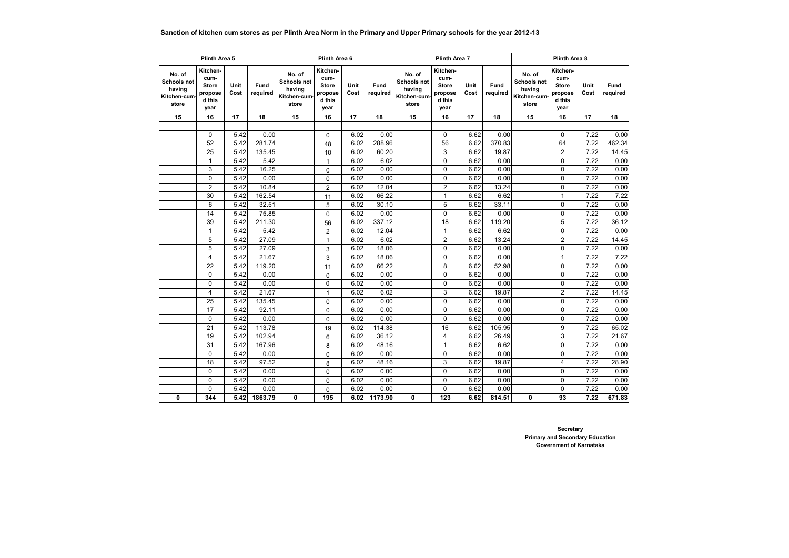## **Sanction of kitchen cum stores as per Plinth Area Norm in the Primary and Upper Primary schools for the year 2012-13**

|                                                                | Plinth Area 5                                                 |                   |                  |                                                                 | Plinth Area 6                                                 |              |                  | Plinth Area 7                                            |                                                               |              | Plinth Area 8    |                                                          |                                                               |              |                  |
|----------------------------------------------------------------|---------------------------------------------------------------|-------------------|------------------|-----------------------------------------------------------------|---------------------------------------------------------------|--------------|------------------|----------------------------------------------------------|---------------------------------------------------------------|--------------|------------------|----------------------------------------------------------|---------------------------------------------------------------|--------------|------------------|
| No. of<br><b>Schools not</b><br>having<br>Kitchen-cum<br>store | Kitchen-<br>cum-<br><b>Store</b><br>propose<br>d this<br>year | Unit<br>Cost      | Fund<br>required | No. of<br><b>Schools not</b><br>having<br>Kitchen-cum-<br>store | Kitchen-<br>cum-<br><b>Store</b><br>propose<br>d this<br>year | Unit<br>Cost | Fund<br>required | No. of<br>Schools not<br>having<br>Kitchen-cum-<br>store | Kitchen-<br>cum-<br><b>Store</b><br>propose<br>d this<br>year | Unit<br>Cost | Fund<br>required | No. of<br>Schools not<br>having<br>Kitchen-cum-<br>store | Kitchen-<br>cum-<br><b>Store</b><br>propose<br>d this<br>year | Unit<br>Cost | Fund<br>required |
| 15                                                             | 16                                                            | 17                | 18               | 15                                                              | 16                                                            | 17           | 18               | 15                                                       | 16                                                            | 17           | 18               | 15                                                       | 16                                                            | 17           | 18               |
|                                                                |                                                               |                   |                  |                                                                 |                                                               |              |                  |                                                          |                                                               |              |                  |                                                          |                                                               |              |                  |
|                                                                | 0                                                             | 5.42              | 0.00             |                                                                 | $\mathbf 0$                                                   | 6.02         | 0.00             |                                                          | $\mathbf 0$                                                   | 6.62         | 0.00             |                                                          | 0                                                             | 7.22         | 0.00             |
|                                                                | 52                                                            | 5.42              | 281.74           |                                                                 | 48                                                            | 6.02         | 288.96           |                                                          | 56                                                            | 6.62         | 370.83           |                                                          | 64                                                            | 7.22         | 462.34           |
|                                                                | 25                                                            | 5.42              | 135.45           |                                                                 | 10                                                            | 6.02         | 60.20            |                                                          | 3                                                             | 6.62         | 19.87            |                                                          | $\overline{2}$                                                | 7.22         | 14.45            |
|                                                                | $\mathbf{1}$                                                  | 5.42              | 5.42             |                                                                 | $\mathbf{1}$                                                  | 6.02         | 6.02             |                                                          | $\mathbf 0$                                                   | 6.62         | 0.00             |                                                          | 0                                                             | 7.22         | 0.00             |
|                                                                | 3                                                             | 5.42              | 16.25            |                                                                 | 0                                                             | 6.02         | 0.00             |                                                          | 0                                                             | 6.62         | 0.00             |                                                          | 0                                                             | 7.22         | 0.00             |
|                                                                | $\Omega$                                                      | 5.42              | 0.00             |                                                                 | 0                                                             | 6.02         | 0.00             |                                                          | $\Omega$                                                      | 6.62         | 0.00             |                                                          | $\Omega$                                                      | 7.22         | 0.00             |
|                                                                | $\overline{2}$                                                | 5.42              | 10.84            |                                                                 | $\overline{2}$                                                | 6.02         | 12.04            |                                                          | $\overline{2}$                                                | 6.62         | 13.24            |                                                          | $\Omega$                                                      | 7.22         | 0.00             |
|                                                                | 30                                                            | 5.42              | 162.54           |                                                                 | 11                                                            | 6.02         | 66.22            |                                                          | $\mathbf{1}$                                                  | 6.62         | 6.62             |                                                          | $\mathbf{1}$                                                  | 7.22         | 7.22             |
|                                                                | 6                                                             | 5.42              | 32.51            |                                                                 | 5                                                             | 6.02         | 30.10            |                                                          | 5                                                             | 6.62         | 33.11            |                                                          | 0                                                             | 7.22         | 0.00             |
|                                                                | 14                                                            | 5.42              | 75.85            |                                                                 | $\mathbf 0$                                                   | 6.02         | 0.00             |                                                          | 0                                                             | 6.62         | 0.00             |                                                          | 0                                                             | 7.22         | 0.00             |
|                                                                | 39                                                            | 5.42              | 211.30           |                                                                 | 56                                                            | 6.02         | 337.12           |                                                          | 18                                                            | 6.62         | 119.20           |                                                          | 5                                                             | 7.22         | 36.12            |
|                                                                | $\overline{1}$                                                | 5.42              | 5.42             |                                                                 | $\overline{2}$                                                | 6.02         | 12.04            |                                                          | 1                                                             | 6.62         | 6.62             |                                                          | 0                                                             | 7.22         | 0.00             |
|                                                                | 5                                                             | 5.42              | 27.09            |                                                                 | $\mathbf{1}$                                                  | 6.02         | 6.02             |                                                          | $\overline{2}$                                                | 6.62         | 13.24            |                                                          | $\overline{2}$                                                | 7.22         | 14.45            |
|                                                                | 5                                                             | 5.42              | 27.09            |                                                                 | 3                                                             | 6.02         | 18.06            |                                                          | $\mathbf 0$                                                   | 6.62         | 0.00             |                                                          | $\mathbf 0$                                                   | 7.22         | 0.00             |
|                                                                | 4                                                             | 5.42              | 21.67            |                                                                 | 3                                                             | 6.02         | 18.06            |                                                          | 0                                                             | 6.62         | 0.00             |                                                          | $\mathbf{1}$                                                  | 7.22         | 7.22             |
|                                                                | 22                                                            | 5.42              | 119.20           |                                                                 | 11                                                            | 6.02         | 66.22            |                                                          | 8                                                             | 6.62         | 52.98            |                                                          | 0                                                             | 7.22         | 0.00             |
|                                                                | 0                                                             | 5.42              | 0.00             |                                                                 | $\mathbf 0$                                                   | 6.02         | 0.00             |                                                          | 0                                                             | 6.62         | 0.00             |                                                          | 0                                                             | 7.22         | 0.00             |
|                                                                | 0                                                             | 5.42              | 0.00             |                                                                 | 0                                                             | 6.02         | 0.00             |                                                          | 0                                                             | 6.62         | 0.00             |                                                          | 0                                                             | 7.22         | 0.00             |
|                                                                | $\overline{\mathbf{4}}$                                       | 5.42              | 21.67            |                                                                 | $\mathbf{1}$                                                  | 6.02         | 6.02             |                                                          | 3                                                             | 6.62         | 19.87            |                                                          | $\overline{2}$                                                | 7.22         | 14.45            |
|                                                                | 25                                                            | $\overline{5.42}$ | 135.45           |                                                                 | 0                                                             | 6.02         | 0.00             |                                                          | $\Omega$                                                      | 6.62         | 0.00             |                                                          | $\Omega$                                                      | 7.22         | 0.00             |
|                                                                | 17                                                            | 5.42              | 92.11            |                                                                 | 0                                                             | 6.02         | 0.00             |                                                          | 0                                                             | 6.62         | 0.00             |                                                          | 0                                                             | 7.22         | 0.00             |
|                                                                | $\mathbf 0$                                                   | 5.42              | 0.00             |                                                                 | $\mathbf{0}$                                                  | 6.02         | 0.00             |                                                          | 0                                                             | 6.62         | 0.00             |                                                          | 0                                                             | 7.22         | 0.00             |
|                                                                | 21                                                            | 5.42              | 113.78           |                                                                 | 19                                                            | 6.02         | 114.38           |                                                          | 16                                                            | 6.62         | 105.95           |                                                          | 9                                                             | 7.22         | 65.02            |
|                                                                | 19                                                            | 5.42              | 102.94           |                                                                 | 6                                                             | 6.02         | 36.12            |                                                          | 4                                                             | 6.62         | 26.49            |                                                          | 3                                                             | 7.22         | 21.67            |
|                                                                | 31                                                            | 5.42              | 167.96           |                                                                 | 8                                                             | 6.02         | 48.16            |                                                          | 1                                                             | 6.62         | 6.62             |                                                          | 0                                                             | 7.22         | 0.00             |
|                                                                | $\mathbf 0$                                                   | 5.42              | 0.00             |                                                                 | 0                                                             | 6.02         | 0.00             |                                                          | $\Omega$                                                      | 6.62         | 0.00             |                                                          | $\mathbf 0$                                                   | 7.22         | 0.00             |
|                                                                | 18                                                            | 5.42              | 97.52            |                                                                 | 8                                                             | 6.02         | 48.16            |                                                          | 3                                                             | 6.62         | 19.87            |                                                          | $\overline{\mathbf{4}}$                                       | 7.22         | 28.90            |
|                                                                | $\mathbf 0$                                                   | 5.42              | 0.00             |                                                                 | $\mathbf 0$                                                   | 6.02         | 0.00             |                                                          | $\mathbf 0$                                                   | 6.62         | 0.00             |                                                          | $\mathbf 0$                                                   | 7.22         | 0.00             |
|                                                                | 0                                                             | 5.42              | 0.00             |                                                                 | 0                                                             | 6.02         | 0.00             |                                                          | $\mathbf 0$                                                   | 6.62         | 0.00             |                                                          | 0                                                             | 7.22         | 0.00             |
|                                                                | 0                                                             | 5.42              | 0.00             |                                                                 | $\mathbf 0$                                                   | 6.02         | 0.00             |                                                          | $\mathbf 0$                                                   | 6.62         | 0.00             |                                                          | $\Omega$                                                      | 7.22         | 0.00             |
| 0                                                              | 344                                                           | 5.42              | 1863.79          | 0                                                               | 195                                                           | 6.02         | 1173.90          | 0                                                        | 123                                                           | 6.62         | 814.51           | 0                                                        | 93                                                            | 7.22         | 671.83           |

**Secretary Primary and Secondary Education Government of Karnataka**